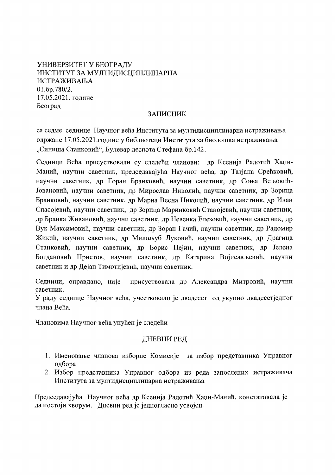УНИВЕРЗИТЕТ У БЕОГРАЛУ ИНСТИТУТ ЗА МУЛТИЛИСШИПЛИНАРНА **ИСТРАЖИВАЊА**  $01.6p.780/2.$ 17.05.2021. године Београд

# ЗАПИСНИК

са седме седнице Научног већа Института за мултидисциплинарна истраживања одржане 17.05.2021.године у библиотеци Института за биолошка истраживања "Синиша Станковић", Булевар деспота Стефана бр.142.

Седници Већа присуствовали су следећи чланови: др Ксенија Радотић Хаџи-Манић, научни саветник, председавајућа Научног већа, др Татјана Срећковић, научни саветник, др Горан Бранковић, научни саветник, др Соња Вељовић-Јовановић, научни саветник, др Мирослав Николић, научни саветник, др Зорица Бранковић, научни саветник, др Мариа Весна Николић, научни саветник, др Иван Спасојевић, научни саветник, др Зорица Маринковић Станојевић, научни саветник, др Бранка Живановић, научни саветник, др Невенка Елезовић, научни саветник, др Вук Максимовић, научни саветник, др Зоран Гачић, научни саветник, др Радомир Жикић, научни саветник, др Милољуб Луковић, научни саветник, др Драгица Станковић, научни саветник, др Борис Пејин, научни саветник, др Јелена Богдановић Пристов, научни саветник, др Катарина Војисављевић, научни саветник и др Дејан Тимотијевић, научни саветник.

Седници, оправдано, није присуствовала др Александра Митровић, научни саветник.

У раду седнице Научног већа, учествовало је двадесет од укупно двадесетједног члана Већа.

Члановима Научног већа упућен је следећи

### ДНЕВНИ РЕД

- 1. Именовање чланова изборне Комисије за избор представника Управног одбора
- 2. Избор представника Управног одбора из реда запослених истраживача Института за мултидисциплинарна истраживања

Председавајућа Научног већа др Ксенија Радотић Хаџи-Манић, констатовала је да постоји кворум. Дневни ред је једногласно усвојен.